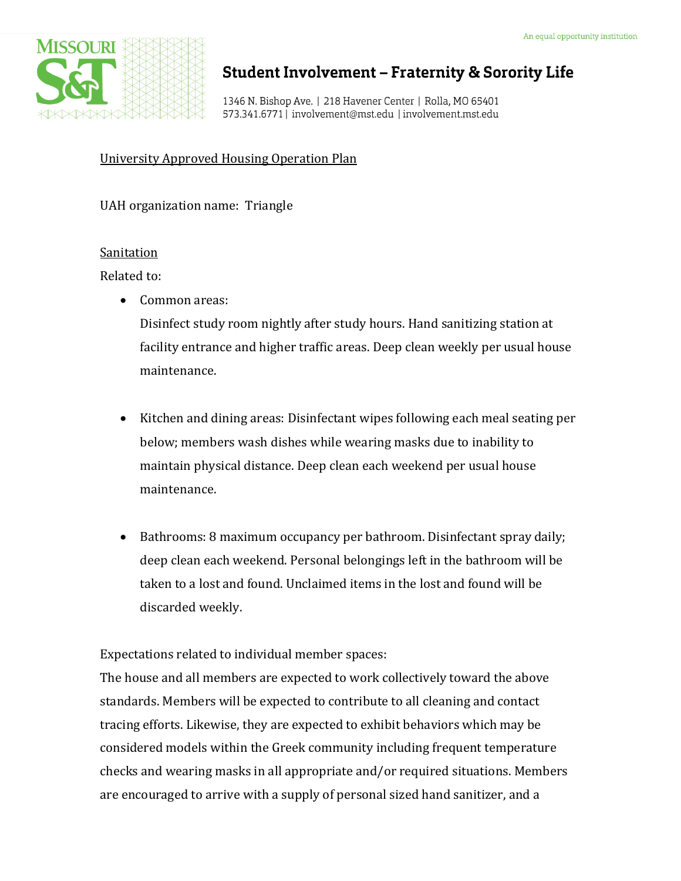

# **Student Involvement - Fraternity & Sorority Life**

1346 N. Bishop Ave. | 218 Havener Center | Rolla, MO 65401 573.341.6771 | involvement@mst.edu | involvement.mst.edu

University Approved Housing Operation Plan

UAH organization name: Triangle

## Sanitation

Related to:

• Common areas:

Disinfect study room nightly after study hours. Hand sanitizing station at facility entrance and higher traffic areas. Deep clean weekly per usual house maintenance.

- Kitchen and dining areas: Disinfectant wipes following each meal seating per below; members wash dishes while wearing masks due to inability to maintain physical distance. Deep clean each weekend per usual house maintenance.
- Bathrooms: 8 maximum occupancy per bathroom. Disinfectant spray daily; deep clean each weekend. Personal belongings left in the bathroom will be taken to a lost and found. Unclaimed items in the lost and found will be discarded weekly.

Expectations related to individual member spaces:

The house and all members are expected to work collectively toward the above standards. Members will be expected to contribute to all cleaning and contact tracing efforts. Likewise, they are expected to exhibit behaviors which may be considered models within the Greek community including frequent temperature checks and wearing masks in all appropriate and/or required situations. Members are encouraged to arrive with a supply of personal sized hand sanitizer, and a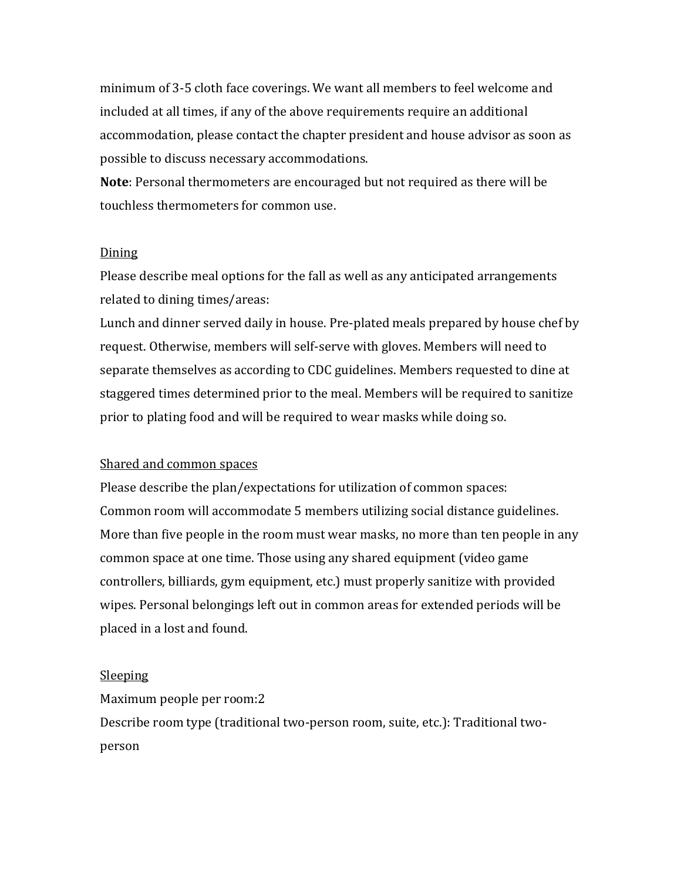minimum of 3-5 cloth face coverings. We want all members to feel welcome and included at all times, if any of the above requirements require an additional accommodation, please contact the chapter president and house advisor as soon as possible to discuss necessary accommodations.

**Note**: Personal thermometers are encouraged but not required as there will be touchless thermometers for common use.

### Dining

Please describe meal options for the fall as well as any anticipated arrangements related to dining times/areas:

Lunch and dinner served daily in house. Pre-plated meals prepared by house chef by request. Otherwise, members will self-serve with gloves. Members will need to separate themselves as according to CDC guidelines. Members requested to dine at staggered times determined prior to the meal. Members will be required to sanitize prior to plating food and will be required to wear masks while doing so.

### Shared and common spaces

Please describe the plan/expectations for utilization of common spaces: Common room will accommodate 5 members utilizing social distance guidelines. More than five people in the room must wear masks, no more than ten people in any common space at one time. Those using any shared equipment (video game controllers, billiards, gym equipment, etc.) must properly sanitize with provided wipes. Personal belongings left out in common areas for extended periods will be placed in a lost and found.

#### Sleeping

Maximum people per room:2

Describe room type (traditional two-person room, suite, etc.): Traditional twoperson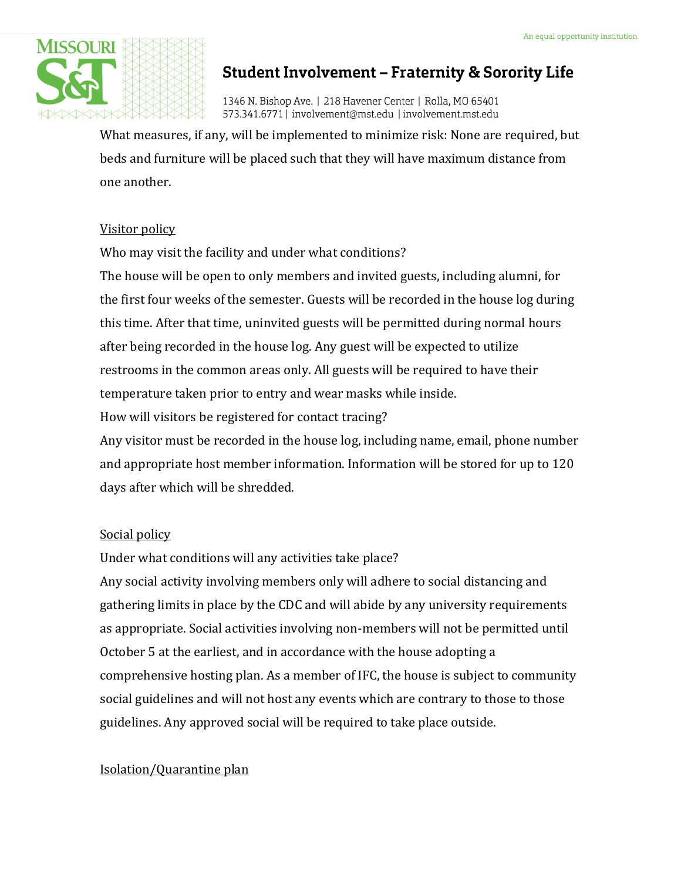

# **Student Involvement - Fraternity & Sorority Life**

1346 N. Bishop Ave. | 218 Havener Center | Rolla, MO 65401 573.341.6771 | involvement@mst.edu | involvement.mst.edu

What measures, if any, will be implemented to minimize risk: None are required, but beds and furniture will be placed such that they will have maximum distance from one another.

## Visitor policy

Who may visit the facility and under what conditions?

The house will be open to only members and invited guests, including alumni, for the first four weeks of the semester. Guests will be recorded in the house log during this time. After that time, uninvited guests will be permitted during normal hours after being recorded in the house log. Any guest will be expected to utilize restrooms in the common areas only. All guests will be required to have their temperature taken prior to entry and wear masks while inside.

How will visitors be registered for contact tracing?

Any visitor must be recorded in the house log, including name, email, phone number and appropriate host member information. Information will be stored for up to 120 days after which will be shredded.

# Social policy

Under what conditions will any activities take place?

Any social activity involving members only will adhere to social distancing and gathering limits in place by the CDC and will abide by any university requirements as appropriate. Social activities involving non-members will not be permitted until October 5 at the earliest, and in accordance with the house adopting a comprehensive hosting plan. As a member of IFC, the house is subject to community social guidelines and will not host any events which are contrary to those to those guidelines. Any approved social will be required to take place outside.

# Isolation/Quarantine plan